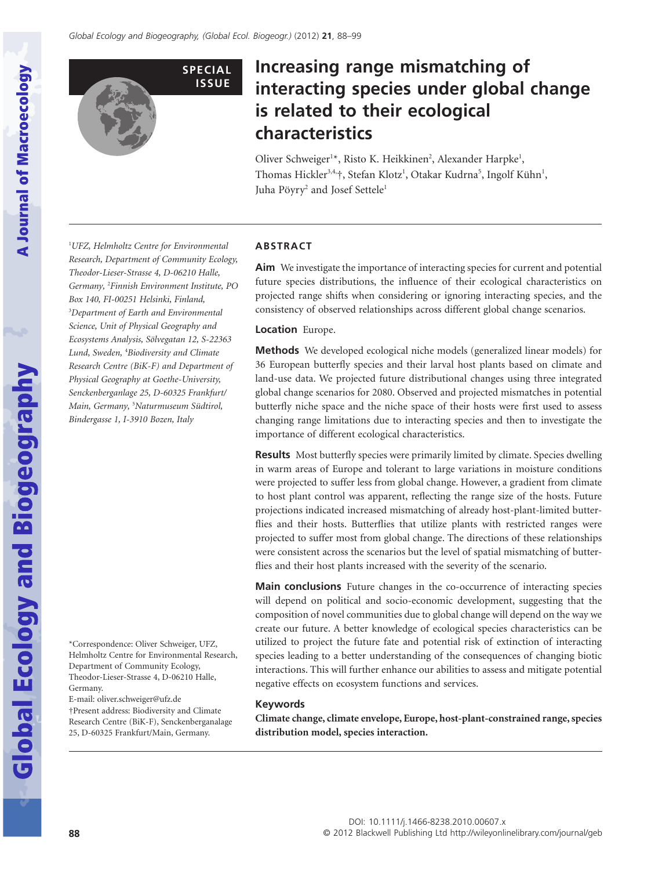

# **Increasing range mismatching of interacting species under global change is related to their ecological characteristics**

Oliver Schweiger<sup>1\*</sup>, Risto K. Heikkinen<sup>2</sup>, Alexander Harpke<sup>1</sup>, Thomas Hickler<sup>3,4,</sup>†, Stefan Klotz<sup>1</sup>, Otakar Kudrna<sup>5</sup>, Ingolf Kühn<sup>1</sup>, Juha Pöyry<sup>2</sup> and Josef Settele<sup>1</sup>

1 *UFZ, Helmholtz Centre for Environmental Research, Department of Community Ecology, Theodor-Lieser-Strasse 4, D-06210 Halle, Germany,* <sup>2</sup> *Finnish Environment Institute, PO Box 140, FI-00251 Helsinki, Finland,* 3 *Department of Earth and Environmental Science, Unit of Physical Geography and Ecosystems Analysis, Sölvegatan 12, S-22363 Lund, Sweden,* <sup>4</sup> *Biodiversity and Climate Research Centre (BiK-F) and Department of Physical Geography at Goethe-University, Senckenberganlage 25, D-60325 Frankfurt/ Main, Germany,* <sup>5</sup> *Naturmuseum Südtirol, Bindergasse 1, I-3910 Bozen, Italy*

# **ABSTRACT**

**Aim** We investigate the importance of interacting species for current and potential future species distributions, the influence of their ecological characteristics on projected range shifts when considering or ignoring interacting species, and the consistency of observed relationships across different global change scenarios.

## **Location** Europe.

**Methods** We developed ecological niche models (generalized linear models) for 36 European butterfly species and their larval host plants based on climate and land-use data. We projected future distributional changes using three integrated global change scenarios for 2080. Observed and projected mismatches in potential butterfly niche space and the niche space of their hosts were first used to assess changing range limitations due to interacting species and then to investigate the importance of different ecological characteristics.

**Results** Most butterfly species were primarily limited by climate. Species dwelling in warm areas of Europe and tolerant to large variations in moisture conditions were projected to suffer less from global change. However, a gradient from climate to host plant control was apparent, reflecting the range size of the hosts. Future projections indicated increased mismatching of already host-plant-limited butterflies and their hosts. Butterflies that utilize plants with restricted ranges were projected to suffer most from global change. The directions of these relationships were consistent across the scenarios but the level of spatial mismatching of butterflies and their host plants increased with the severity of the scenario.

**Main conclusions** Future changes in the co-occurrence of interacting species will depend on political and socio-economic development, suggesting that the composition of novel communities due to global change will depend on the way we create our future. A better knowledge of ecological species characteristics can be utilized to project the future fate and potential risk of extinction of interacting species leading to a better understanding of the consequences of changing biotic interactions. This will further enhance our abilities to assess and mitigate potential negative effects on ecosystem functions and services.

#### **Keywords**

**Climate change, climate envelope, Europe, host-plant-constrained range, species distribution model, species interaction.**

\*Correspondence: Oliver Schweiger, UFZ, Helmholtz Centre for Environmental Research, Department of Community Ecology, Theodor-Lieser-Strasse 4, D-06210 Halle, Germany.

E-mail: oliver.schweiger@ufz.de †Present address: Biodiversity and Climate Research Centre (BiK-F), Senckenberganalage 25, D-60325 Frankfurt/Main, Germany.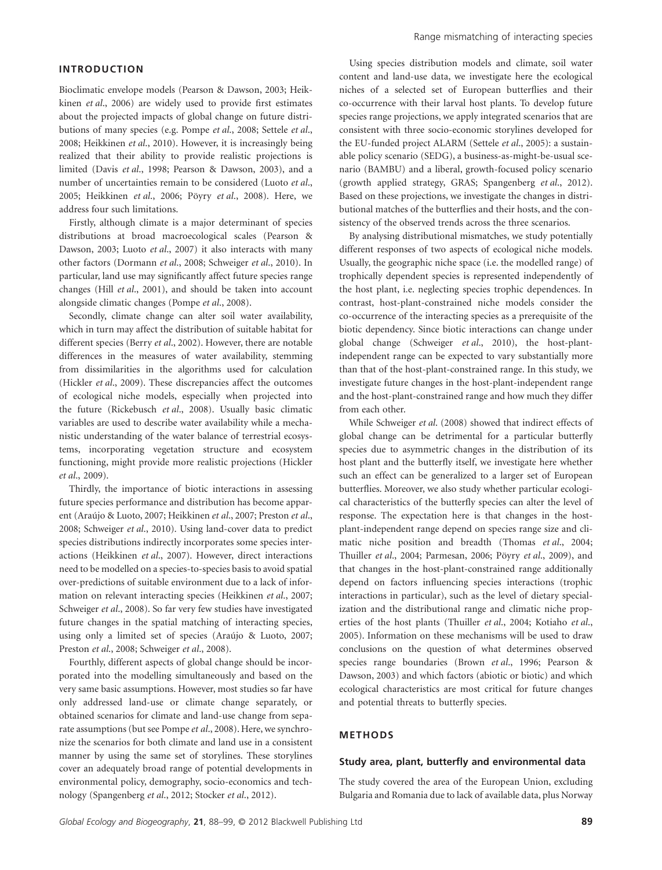# **INTRODUCTION**

Bioclimatic envelope models (Pearson & Dawson, 2003; Heikkinen *et al*., 2006) are widely used to provide first estimates about the projected impacts of global change on future distributions of many species (e.g. Pompe *et al*., 2008; Settele *et al*., 2008; Heikkinen *et al*., 2010). However, it is increasingly being realized that their ability to provide realistic projections is limited (Davis *et al*., 1998; Pearson & Dawson, 2003), and a number of uncertainties remain to be considered (Luoto *et al*., 2005; Heikkinen *et al*., 2006; Pöyry *et al*., 2008). Here, we address four such limitations.

Firstly, although climate is a major determinant of species distributions at broad macroecological scales (Pearson & Dawson, 2003; Luoto *et al*., 2007) it also interacts with many other factors (Dormann *et al*., 2008; Schweiger *et al*., 2010). In particular, land use may significantly affect future species range changes (Hill *et al*., 2001), and should be taken into account alongside climatic changes (Pompe *et al*., 2008).

Secondly, climate change can alter soil water availability, which in turn may affect the distribution of suitable habitat for different species (Berry *et al*., 2002). However, there are notable differences in the measures of water availability, stemming from dissimilarities in the algorithms used for calculation (Hickler *et al*., 2009). These discrepancies affect the outcomes of ecological niche models, especially when projected into the future (Rickebusch *et al*., 2008). Usually basic climatic variables are used to describe water availability while a mechanistic understanding of the water balance of terrestrial ecosystems, incorporating vegetation structure and ecosystem functioning, might provide more realistic projections (Hickler *et al*., 2009).

Thirdly, the importance of biotic interactions in assessing future species performance and distribution has become apparent (Araújo & Luoto, 2007; Heikkinen *et al*., 2007; Preston *et al*., 2008; Schweiger *et al*., 2010). Using land-cover data to predict species distributions indirectly incorporates some species interactions (Heikkinen *et al*., 2007). However, direct interactions need to be modelled on a species-to-species basis to avoid spatial over-predictions of suitable environment due to a lack of information on relevant interacting species (Heikkinen *et al*., 2007; Schweiger *et al*., 2008). So far very few studies have investigated future changes in the spatial matching of interacting species, using only a limited set of species (Araújo & Luoto, 2007; Preston *et al*., 2008; Schweiger *et al*., 2008).

Fourthly, different aspects of global change should be incorporated into the modelling simultaneously and based on the very same basic assumptions. However, most studies so far have only addressed land-use or climate change separately, or obtained scenarios for climate and land-use change from separate assumptions (but see Pompe *et al*., 2008). Here, we synchronize the scenarios for both climate and land use in a consistent manner by using the same set of storylines. These storylines cover an adequately broad range of potential developments in environmental policy, demography, socio-economics and technology (Spangenberg *et al*., 2012; Stocker *et al*., 2012).

Using species distribution models and climate, soil water content and land-use data, we investigate here the ecological niches of a selected set of European butterflies and their co-occurrence with their larval host plants. To develop future species range projections, we apply integrated scenarios that are consistent with three socio-economic storylines developed for the EU-funded project ALARM (Settele *et al*., 2005): a sustainable policy scenario (SEDG), a business-as-might-be-usual scenario (BAMBU) and a liberal, growth-focused policy scenario (growth applied strategy, GRAS; Spangenberg *et al*., 2012). Based on these projections, we investigate the changes in distributional matches of the butterflies and their hosts, and the consistency of the observed trends across the three scenarios.

By analysing distributional mismatches, we study potentially different responses of two aspects of ecological niche models. Usually, the geographic niche space (i.e. the modelled range) of trophically dependent species is represented independently of the host plant, i.e. neglecting species trophic dependences. In contrast, host-plant-constrained niche models consider the co-occurrence of the interacting species as a prerequisite of the biotic dependency. Since biotic interactions can change under global change (Schweiger *et al*., 2010), the host-plantindependent range can be expected to vary substantially more than that of the host-plant-constrained range. In this study, we investigate future changes in the host-plant-independent range and the host-plant-constrained range and how much they differ from each other.

While Schweiger *et al*. (2008) showed that indirect effects of global change can be detrimental for a particular butterfly species due to asymmetric changes in the distribution of its host plant and the butterfly itself, we investigate here whether such an effect can be generalized to a larger set of European butterflies. Moreover, we also study whether particular ecological characteristics of the butterfly species can alter the level of response. The expectation here is that changes in the hostplant-independent range depend on species range size and climatic niche position and breadth (Thomas *et al*., 2004; Thuiller *et al*., 2004; Parmesan, 2006; Pöyry *et al*., 2009), and that changes in the host-plant-constrained range additionally depend on factors influencing species interactions (trophic interactions in particular), such as the level of dietary specialization and the distributional range and climatic niche properties of the host plants (Thuiller *et al*., 2004; Kotiaho *et al*., 2005). Information on these mechanisms will be used to draw conclusions on the question of what determines observed species range boundaries (Brown *et al*., 1996; Pearson & Dawson, 2003) and which factors (abiotic or biotic) and which ecological characteristics are most critical for future changes and potential threats to butterfly species.

## **METHODS**

#### **Study area, plant, butterfly and environmental data**

The study covered the area of the European Union, excluding Bulgaria and Romania due to lack of available data, plus Norway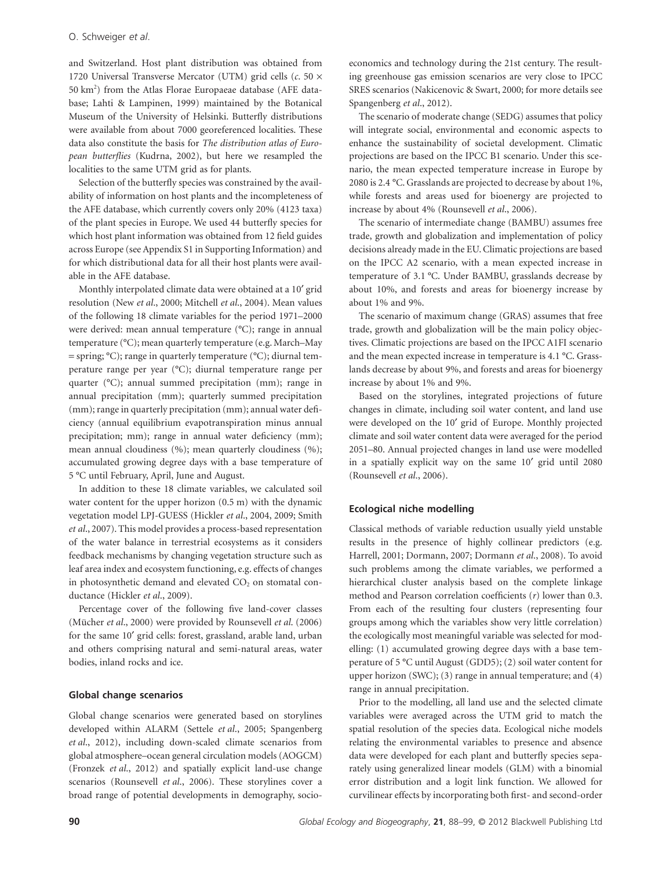and Switzerland. Host plant distribution was obtained from 1720 Universal Transverse Mercator (UTM) grid cells (*c*. 50 ¥ 50 km2 ) from the Atlas Florae Europaeae database (AFE database; Lahti & Lampinen, 1999) maintained by the Botanical Museum of the University of Helsinki. Butterfly distributions were available from about 7000 georeferenced localities. These data also constitute the basis for *The distribution atlas of European butterflies* (Kudrna, 2002), but here we resampled the localities to the same UTM grid as for plants.

Selection of the butterfly species was constrained by the availability of information on host plants and the incompleteness of the AFE database, which currently covers only 20% (4123 taxa) of the plant species in Europe. We used 44 butterfly species for which host plant information was obtained from 12 field guides across Europe (see Appendix S1 in Supporting Information) and for which distributional data for all their host plants were available in the AFE database.

Monthly interpolated climate data were obtained at a 10′ grid resolution (New *et al*., 2000; Mitchell *et al*., 2004). Mean values of the following 18 climate variables for the period 1971–2000 were derived: mean annual temperature (°C); range in annual temperature (°C); mean quarterly temperature (e.g. March–May = spring;  $^{\circ}$ C); range in quarterly temperature ( $^{\circ}$ C); diurnal temperature range per year (°C); diurnal temperature range per quarter (°C); annual summed precipitation (mm); range in annual precipitation (mm); quarterly summed precipitation (mm); range in quarterly precipitation (mm); annual water deficiency (annual equilibrium evapotranspiration minus annual precipitation; mm); range in annual water deficiency (mm); mean annual cloudiness (%); mean quarterly cloudiness (%); accumulated growing degree days with a base temperature of 5 °C until February, April, June and August.

In addition to these 18 climate variables, we calculated soil water content for the upper horizon (0.5 m) with the dynamic vegetation model LPJ-GUESS (Hickler *et al*., 2004, 2009; Smith *et al*., 2007). This model provides a process-based representation of the water balance in terrestrial ecosystems as it considers feedback mechanisms by changing vegetation structure such as leaf area index and ecosystem functioning, e.g. effects of changes in photosynthetic demand and elevated  $CO<sub>2</sub>$  on stomatal conductance (Hickler *et al*., 2009).

Percentage cover of the following five land-cover classes (Mücher *et al*., 2000) were provided by Rounsevell *et al*. (2006) for the same 10′ grid cells: forest, grassland, arable land, urban and others comprising natural and semi-natural areas, water bodies, inland rocks and ice.

#### **Global change scenarios**

Global change scenarios were generated based on storylines developed within ALARM (Settele *et al*., 2005; Spangenberg *et al*., 2012), including down-scaled climate scenarios from global atmosphere–ocean general circulation models (AOGCM) (Fronzek *et al*., 2012) and spatially explicit land-use change scenarios (Rounsevell *et al*., 2006). These storylines cover a broad range of potential developments in demography, socioeconomics and technology during the 21st century. The resulting greenhouse gas emission scenarios are very close to IPCC SRES scenarios (Nakicenovic & Swart, 2000; for more details see Spangenberg *et al*., 2012).

The scenario of moderate change (SEDG) assumes that policy will integrate social, environmental and economic aspects to enhance the sustainability of societal development. Climatic projections are based on the IPCC B1 scenario. Under this scenario, the mean expected temperature increase in Europe by 2080 is 2.4 °C. Grasslands are projected to decrease by about 1%, while forests and areas used for bioenergy are projected to increase by about 4% (Rounsevell *et al*., 2006).

The scenario of intermediate change (BAMBU) assumes free trade, growth and globalization and implementation of policy decisions already made in the EU. Climatic projections are based on the IPCC A2 scenario, with a mean expected increase in temperature of 3.1 °C. Under BAMBU, grasslands decrease by about 10%, and forests and areas for bioenergy increase by about 1% and 9%.

The scenario of maximum change (GRAS) assumes that free trade, growth and globalization will be the main policy objectives. Climatic projections are based on the IPCC A1FI scenario and the mean expected increase in temperature is 4.1 °C. Grasslands decrease by about 9%, and forests and areas for bioenergy increase by about 1% and 9%.

Based on the storylines, integrated projections of future changes in climate, including soil water content, and land use were developed on the 10′ grid of Europe. Monthly projected climate and soil water content data were averaged for the period 2051–80. Annual projected changes in land use were modelled in a spatially explicit way on the same 10′ grid until 2080 (Rounsevell *et al*., 2006).

#### **Ecological niche modelling**

Classical methods of variable reduction usually yield unstable results in the presence of highly collinear predictors (e.g. Harrell, 2001; Dormann, 2007; Dormann *et al*., 2008). To avoid such problems among the climate variables, we performed a hierarchical cluster analysis based on the complete linkage method and Pearson correlation coefficients (*r*) lower than 0.3. From each of the resulting four clusters (representing four groups among which the variables show very little correlation) the ecologically most meaningful variable was selected for modelling: (1) accumulated growing degree days with a base temperature of 5 °C until August (GDD5); (2) soil water content for upper horizon (SWC); (3) range in annual temperature; and (4) range in annual precipitation.

Prior to the modelling, all land use and the selected climate variables were averaged across the UTM grid to match the spatial resolution of the species data. Ecological niche models relating the environmental variables to presence and absence data were developed for each plant and butterfly species separately using generalized linear models (GLM) with a binomial error distribution and a logit link function. We allowed for curvilinear effects by incorporating both first- and second-order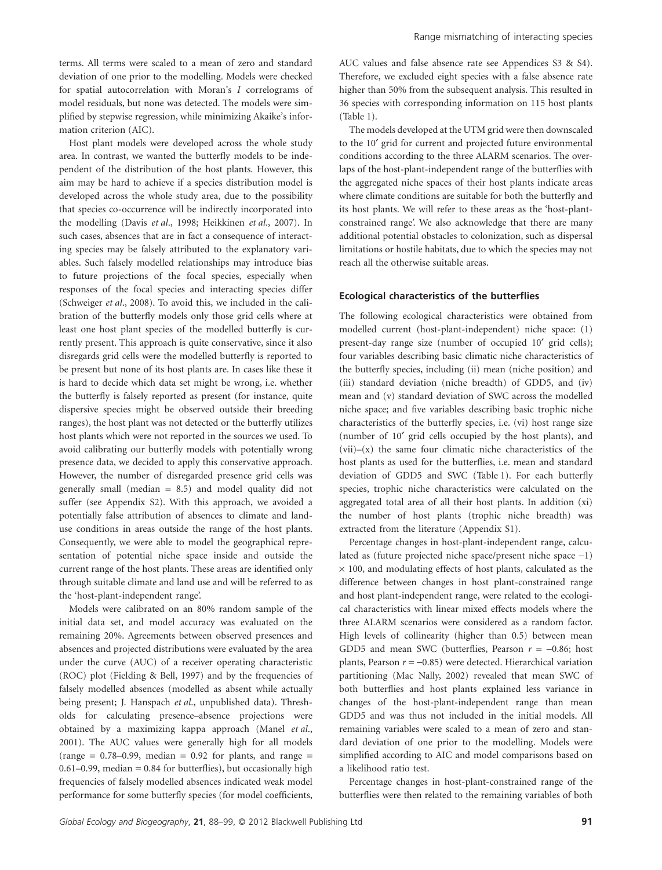terms. All terms were scaled to a mean of zero and standard deviation of one prior to the modelling. Models were checked for spatial autocorrelation with Moran's *I* correlograms of model residuals, but none was detected. The models were simplified by stepwise regression, while minimizing Akaike's information criterion (AIC).

Host plant models were developed across the whole study area. In contrast, we wanted the butterfly models to be independent of the distribution of the host plants. However, this aim may be hard to achieve if a species distribution model is developed across the whole study area, due to the possibility that species co-occurrence will be indirectly incorporated into the modelling (Davis *et al*., 1998; Heikkinen *et al*., 2007). In such cases, absences that are in fact a consequence of interacting species may be falsely attributed to the explanatory variables. Such falsely modelled relationships may introduce bias to future projections of the focal species, especially when responses of the focal species and interacting species differ (Schweiger *et al*., 2008). To avoid this, we included in the calibration of the butterfly models only those grid cells where at least one host plant species of the modelled butterfly is currently present. This approach is quite conservative, since it also disregards grid cells were the modelled butterfly is reported to be present but none of its host plants are. In cases like these it is hard to decide which data set might be wrong, i.e. whether the butterfly is falsely reported as present (for instance, quite dispersive species might be observed outside their breeding ranges), the host plant was not detected or the butterfly utilizes host plants which were not reported in the sources we used. To avoid calibrating our butterfly models with potentially wrong presence data, we decided to apply this conservative approach. However, the number of disregarded presence grid cells was generally small (median = 8.5) and model quality did not suffer (see Appendix S2). With this approach, we avoided a potentially false attribution of absences to climate and landuse conditions in areas outside the range of the host plants. Consequently, we were able to model the geographical representation of potential niche space inside and outside the current range of the host plants. These areas are identified only through suitable climate and land use and will be referred to as the 'host-plant-independent range'.

Models were calibrated on an 80% random sample of the initial data set, and model accuracy was evaluated on the remaining 20%. Agreements between observed presences and absences and projected distributions were evaluated by the area under the curve (AUC) of a receiver operating characteristic (ROC) plot (Fielding & Bell, 1997) and by the frequencies of falsely modelled absences (modelled as absent while actually being present; J. Hanspach *et al*., unpublished data). Thresholds for calculating presence–absence projections were obtained by a maximizing kappa approach (Manel *et al*., 2001). The AUC values were generally high for all models (range =  $0.78-0.99$ , median =  $0.92$  for plants, and range =  $0.61-0.99$ , median = 0.84 for butterflies), but occasionally high frequencies of falsely modelled absences indicated weak model performance for some butterfly species (for model coefficients, AUC values and false absence rate see Appendices S3 & S4). Therefore, we excluded eight species with a false absence rate higher than 50% from the subsequent analysis. This resulted in 36 species with corresponding information on 115 host plants (Table 1).

The models developed at the UTM grid were then downscaled to the 10′ grid for current and projected future environmental conditions according to the three ALARM scenarios. The overlaps of the host-plant-independent range of the butterflies with the aggregated niche spaces of their host plants indicate areas where climate conditions are suitable for both the butterfly and its host plants. We will refer to these areas as the 'host-plantconstrained range'. We also acknowledge that there are many additional potential obstacles to colonization, such as dispersal limitations or hostile habitats, due to which the species may not reach all the otherwise suitable areas.

# **Ecological characteristics of the butterflies**

The following ecological characteristics were obtained from modelled current (host-plant-independent) niche space: (1) present-day range size (number of occupied 10′ grid cells); four variables describing basic climatic niche characteristics of the butterfly species, including (ii) mean (niche position) and (iii) standard deviation (niche breadth) of GDD5, and (iv) mean and (v) standard deviation of SWC across the modelled niche space; and five variables describing basic trophic niche characteristics of the butterfly species, i.e. (vi) host range size (number of 10′ grid cells occupied by the host plants), and  $(vii)$ – $(x)$  the same four climatic niche characteristics of the host plants as used for the butterflies, i.e. mean and standard deviation of GDD5 and SWC (Table 1). For each butterfly species, trophic niche characteristics were calculated on the aggregated total area of all their host plants. In addition (xi) the number of host plants (trophic niche breadth) was extracted from the literature (Appendix S1).

Percentage changes in host-plant-independent range, calculated as (future projected niche space/present niche space -1)  $\times$  100, and modulating effects of host plants, calculated as the difference between changes in host plant-constrained range and host plant-independent range, were related to the ecological characteristics with linear mixed effects models where the three ALARM scenarios were considered as a random factor. High levels of collinearity (higher than 0.5) between mean GDD5 and mean SWC (butterflies, Pearson  $r = -0.86$ ; host plants, Pearson  $r = -0.85$ ) were detected. Hierarchical variation partitioning (Mac Nally, 2002) revealed that mean SWC of both butterflies and host plants explained less variance in changes of the host-plant-independent range than mean GDD5 and was thus not included in the initial models. All remaining variables were scaled to a mean of zero and standard deviation of one prior to the modelling. Models were simplified according to AIC and model comparisons based on a likelihood ratio test.

Percentage changes in host-plant-constrained range of the butterflies were then related to the remaining variables of both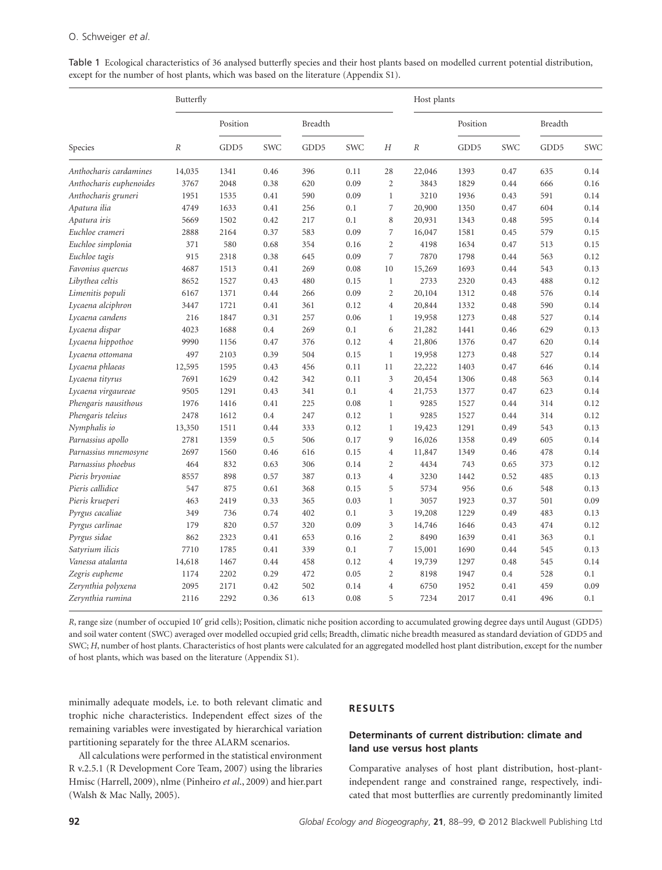|                         | Butterfly |          |            | Host plants      |            |                |          |                  |            |                  |            |
|-------------------------|-----------|----------|------------|------------------|------------|----------------|----------|------------------|------------|------------------|------------|
| Species                 | $\cal R$  | Position |            | <b>Breadth</b>   |            |                |          | Position         |            | <b>Breadth</b>   |            |
|                         |           | GDD5     | <b>SWC</b> | GDD <sub>5</sub> | <b>SWC</b> | H              | $\cal R$ | GDD <sub>5</sub> | <b>SWC</b> | GDD <sub>5</sub> | <b>SWC</b> |
| Anthocharis cardamines  | 14,035    | 1341     | 0.46       | 396              | 0.11       | 28             | 22,046   | 1393             | 0.47       | 635              | 0.14       |
| Anthocharis euphenoides | 3767      | 2048     | 0.38       | 620              | 0.09       | $\mathfrak{2}$ | 3843     | 1829             | 0.44       | 666              | 0.16       |
| Anthocharis gruneri     | 1951      | 1535     | 0.41       | 590              | 0.09       | $\mathbf{1}$   | 3210     | 1936             | 0.43       | 591              | 0.14       |
| Apatura ilia            | 4749      | 1633     | 0.41       | 256              | 0.1        | 7              | 20,900   | 1350             | 0.47       | 604              | 0.14       |
| Apatura iris            | 5669      | 1502     | 0.42       | 217              | 0.1        | 8              | 20,931   | 1343             | 0.48       | 595              | 0.14       |
| Euchloe crameri         | 2888      | 2164     | 0.37       | 583              | 0.09       | 7              | 16,047   | 1581             | 0.45       | 579              | 0.15       |
| Euchloe simplonia       | 371       | 580      | 0.68       | 354              | 0.16       | $\overline{2}$ | 4198     | 1634             | 0.47       | 513              | 0.15       |
| Euchloe tagis           | 915       | 2318     | 0.38       | 645              | 0.09       | $\overline{7}$ | 7870     | 1798             | 0.44       | 563              | 0.12       |
| Favonius quercus        | 4687      | 1513     | 0.41       | 269              | 0.08       | 10             | 15,269   | 1693             | 0.44       | 543              | 0.13       |
| Libythea celtis         | 8652      | 1527     | 0.43       | 480              | 0.15       | $\mathbf{1}$   | 2733     | 2320             | 0.43       | 488              | 0.12       |
| Limenitis populi        | 6167      | 1371     | 0.44       | 266              | 0.09       | $\overline{c}$ | 20,104   | 1312             | 0.48       | 576              | 0.14       |
| Lycaena alciphron       | 3447      | 1721     | 0.41       | 361              | 0.12       | $\overline{4}$ | 20,844   | 1332             | 0.48       | 590              | 0.14       |
| Lycaena candens         | 216       | 1847     | 0.31       | 257              | 0.06       | $\mathbf{1}$   | 19,958   | 1273             | 0.48       | 527              | 0.14       |
| Lycaena dispar          | 4023      | 1688     | 0.4        | 269              | 0.1        | 6              | 21,282   | 1441             | 0.46       | 629              | 0.13       |
| Lycaena hippothoe       | 9990      | 1156     | 0.47       | 376              | 0.12       | $\overline{4}$ | 21,806   | 1376             | 0.47       | 620              | 0.14       |
| Lycaena ottomana        | 497       | 2103     | 0.39       | 504              | 0.15       | $\mathbf{1}$   | 19,958   | 1273             | 0.48       | 527              | 0.14       |
| Lycaena phlaeas         | 12,595    | 1595     | 0.43       | 456              | 0.11       | 11             | 22,222   | 1403             | 0.47       | 646              | 0.14       |
| Lycaena tityrus         | 7691      | 1629     | 0.42       | 342              | 0.11       | 3              | 20,454   | 1306             | 0.48       | 563              | 0.14       |
| Lycaena virgaureae      | 9505      | 1291     | 0.43       | 341              | 0.1        | $\overline{4}$ | 21,753   | 1377             | 0.47       | 623              | 0.14       |
| Phengaris nausithous    | 1976      | 1416     | 0.41       | 225              | 0.08       | $\mathbf{1}$   | 9285     | 1527             | 0.44       | 314              | 0.12       |
| Phengaris teleius       | 2478      | 1612     | 0.4        | 247              | 0.12       | $\mathbf{1}$   | 9285     | 1527             | 0.44       | 314              | 0.12       |
| Nymphalis io            | 13,350    | 1511     | 0.44       | 333              | 0.12       | $\mathbf{1}$   | 19,423   | 1291             | 0.49       | 543              | 0.13       |
| Parnassius apollo       | 2781      | 1359     | 0.5        | 506              | 0.17       | 9              | 16,026   | 1358             | 0.49       | 605              | 0.14       |
| Parnassius mnemosyne    | 2697      | 1560     | 0.46       | 616              | 0.15       | $\overline{4}$ | 11,847   | 1349             | 0.46       | 478              | 0.14       |
| Parnassius phoebus      | 464       | 832      | 0.63       | 306              | 0.14       | $\overline{2}$ | 4434     | 743              | 0.65       | 373              | 0.12       |
| Pieris bryoniae         | 8557      | 898      | 0.57       | 387              | 0.13       | $\overline{4}$ | 3230     | 1442             | 0.52       | 485              | 0.13       |
| Pieris callidice        | 547       | 875      | 0.61       | 368              | 0.15       | 5              | 5734     | 956              | 0.6        | 548              | 0.13       |
| Pieris krueperi         | 463       | 2419     | 0.33       | 365              | 0.03       | $\mathbf{1}$   | 3057     | 1923             | 0.37       | 501              | 0.09       |
| Pyrgus cacaliae         | 349       | 736      | 0.74       | 402              | 0.1        | 3              | 19,208   | 1229             | 0.49       | 483              | 0.13       |
| Pyrgus carlinae         | 179       | 820      | 0.57       | 320              | 0.09       | 3              | 14,746   | 1646             | 0.43       | 474              | 0.12       |
| Pyrgus sidae            | 862       | 2323     | 0.41       | 653              | 0.16       | $\overline{c}$ | 8490     | 1639             | 0.41       | 363              | 0.1        |
| Satyrium ilicis         | 7710      | 1785     | 0.41       | 339              | 0.1        | $\overline{7}$ | 15,001   | 1690             | 0.44       | 545              | 0.13       |
| Vanessa atalanta        | 14,618    | 1467     | 0.44       | 458              | 0.12       | $\overline{4}$ | 19,739   | 1297             | 0.48       | 545              | 0.14       |
| Zegris eupheme          | 1174      | 2202     | 0.29       | 472              | 0.05       | $\mathfrak{2}$ | 8198     | 1947             | 0.4        | 528              | 0.1        |
| Zerynthia polyxena      | 2095      | 2171     | 0.42       | 502              | 0.14       | $\overline{4}$ | 6750     | 1952             | 0.41       | 459              | 0.09       |
| Zerynthia rumina        | 2116      | 2292     | 0.36       | 613              | 0.08       | 5              | 7234     | 2017             | 0.41       | 496              | 0.1        |

Table 1 Ecological characteristics of 36 analysed butterfly species and their host plants based on modelled current potential distribution, except for the number of host plants, which was based on the literature (Appendix S1).

*R*, range size (number of occupied 10′ grid cells); Position, climatic niche position according to accumulated growing degree days until August (GDD5) and soil water content (SWC) averaged over modelled occupied grid cells; Breadth, climatic niche breadth measured as standard deviation of GDD5 and SWC; *H*, number of host plants. Characteristics of host plants were calculated for an aggregated modelled host plant distribution, except for the number of host plants, which was based on the literature (Appendix S1).

minimally adequate models, i.e. to both relevant climatic and trophic niche characteristics. Independent effect sizes of the remaining variables were investigated by hierarchical variation partitioning separately for the three ALARM scenarios.

All calculations were performed in the statistical environment R v.2.5.1 (R Development Core Team, 2007) using the libraries Hmisc (Harrell, 2009), nlme (Pinheiro *et al*., 2009) and hier.part (Walsh & Mac Nally, 2005).

# **RESULTS**

# **Determinants of current distribution: climate and land use versus host plants**

Comparative analyses of host plant distribution, host-plantindependent range and constrained range, respectively, indicated that most butterflies are currently predominantly limited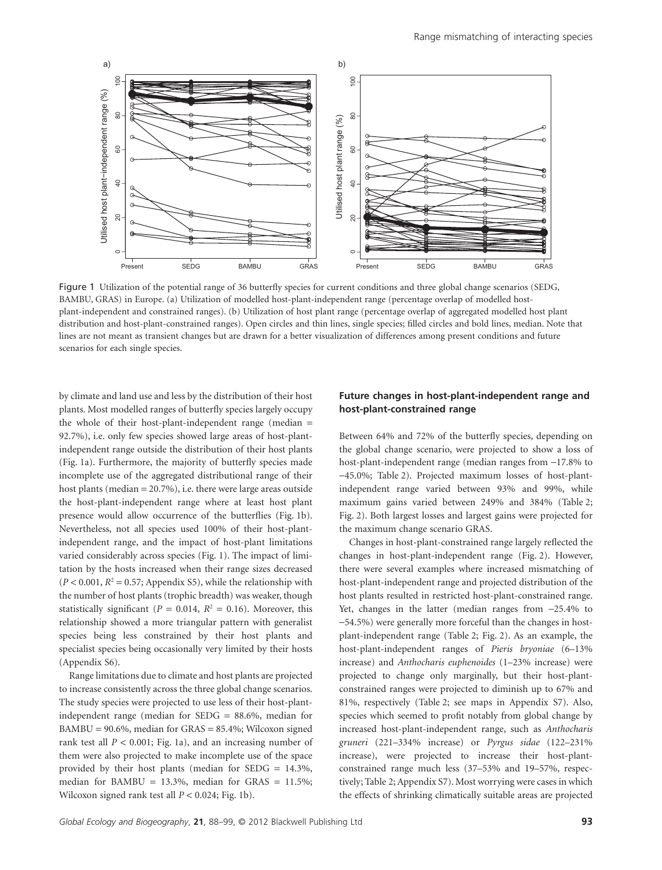

Figure 1 Utilization of the potential range of 36 butterfly species for current conditions and three global change scenarios (SEDG, BAMBU, GRAS) in Europe. (a) Utilization of modelled host-plant-independent range (percentage overlap of modelled hostplant-independent and constrained ranges). (b) Utilization of host plant range (percentage overlap of aggregated modelled host plant distribution and host-plant-constrained ranges). Open circles and thin lines, single species; filled circles and bold lines, median. Note that lines are not meant as transient changes but are drawn for a better visualization of differences among present conditions and future scenarios for each single species.

by climate and land use and less by the distribution of their host plants. Most modelled ranges of butterfly species largely occupy the whole of their host-plant-independent range (median = 92.7%), i.e. only few species showed large areas of host-plantindependent range outside the distribution of their host plants (Fig. 1a). Furthermore, the majority of butterfly species made incomplete use of the aggregated distributional range of their host plants (median = 20.7%), i.e. there were large areas outside the host-plant-independent range where at least host plant presence would allow occurrence of the butterflies (Fig. 1b). Nevertheless, not all species used 100% of their host-plantindependent range, and the impact of host-plant limitations varied considerably across species (Fig. 1). The impact of limitation by the hosts increased when their range sizes decreased  $(P < 0.001, R<sup>2</sup> = 0.57;$  Appendix S5), while the relationship with the number of host plants (trophic breadth) was weaker, though statistically significant ( $P = 0.014$ ,  $R^2 = 0.16$ ). Moreover, this relationship showed a more triangular pattern with generalist species being less constrained by their host plants and specialist species being occasionally very limited by their hosts (Appendix S6).

Range limitations due to climate and host plants are projected to increase consistently across the three global change scenarios. The study species were projected to use less of their host-plantindependent range (median for  $SEDG = 88.6\%$ , median for  $BAMBU = 90.6\%$ , median for  $GRAS = 85.4\%$ ; Wilcoxon signed rank test all  $P < 0.001$ ; Fig. 1a), and an increasing number of them were also projected to make incomplete use of the space provided by their host plants (median for SEDG = 14.3%, median for BAMBU =  $13.3\%$ , median for GRAS =  $11.5\%$ ; Wilcoxon signed rank test all  $P < 0.024$ ; Fig. 1b).

# **Future changes in host-plant-independent range and host-plant-constrained range**

Between 64% and 72% of the butterfly species, depending on the global change scenario, were projected to show a loss of host-plant-independent range (median ranges from -17.8% to -45.0%; Table 2). Projected maximum losses of host-plantindependent range varied between 93% and 99%, while maximum gains varied between 249% and 384% (Table 2; Fig. 2). Both largest losses and largest gains were projected for the maximum change scenario GRAS.

Changes in host-plant-constrained range largely reflected the changes in host-plant-independent range (Fig. 2). However, there were several examples where increased mismatching of host-plant-independent range and projected distribution of the host plants resulted in restricted host-plant-constrained range. Yet, changes in the latter (median ranges from -25.4% to -54.5%) were generally more forceful than the changes in hostplant-independent range (Table 2; Fig. 2). As an example, the host-plant-independent ranges of *Pieris bryoniae* (6–13% increase) and *Anthocharis euphenoides* (1–23% increase) were projected to change only marginally, but their host-plantconstrained ranges were projected to diminish up to 67% and 81%, respectively (Table 2; see maps in Appendix S7). Also, species which seemed to profit notably from global change by increased host-plant-independent range, such as *Anthocharis gruneri* (221–334% increase) or *Pyrgus sidae* (122–231% increase), were projected to increase their host-plantconstrained range much less (37–53% and 19–57%, respectively; Table 2; Appendix S7). Most worrying were cases in which the effects of shrinking climatically suitable areas are projected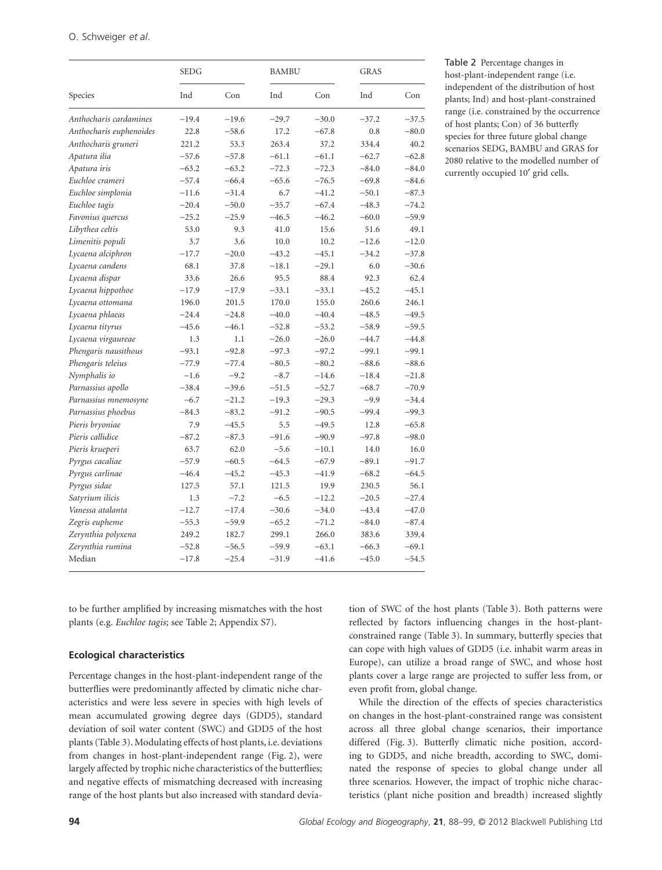|                         | <b>SEDG</b> |         | <b>BAMBU</b> |         | GRAS    |         |  |
|-------------------------|-------------|---------|--------------|---------|---------|---------|--|
| Species                 | Ind         | Con     | Ind          | Con     | Ind     | Con     |  |
| Anthocharis cardamines  | $-19.4$     | $-19.6$ | $-29.7$      | $-30.0$ | $-37.2$ | $-37.5$ |  |
| Anthocharis euphenoides | 22.8        | $-58.6$ | 17.2         | $-67.8$ | 0.8     | $-80.0$ |  |
| Anthocharis gruneri     | 221.2       | 53.3    | 263.4        | 37.2    | 334.4   | 40.2    |  |
| Apatura ilia            | $-57.6$     | $-57.8$ | $-61.1$      | $-61.1$ | $-62.7$ | $-62.8$ |  |
| Apatura iris            | $-63.2$     | $-63.2$ | $-72.3$      | $-72.3$ | $-84.0$ | $-84.0$ |  |
| Euchloe crameri         | $-57.4$     | $-66.4$ | $-65.6$      | $-76.5$ | $-69.8$ | $-84.6$ |  |
| Euchloe simplonia       | $-11.6$     | $-31.4$ | 6.7          | $-41.2$ | $-50.1$ | $-87.3$ |  |
| Euchloe tagis           | $-20.4$     | $-50.0$ | $-35.7$      | $-67.4$ | $-48.3$ | $-74.2$ |  |
| Favonius quercus        | $-25.2$     | $-25.9$ | $-46.5$      | $-46.2$ | $-60.0$ | $-59.9$ |  |
| Libythea celtis         | 53.0        | 9.3     | 41.0         | 15.6    | 51.6    | 49.1    |  |
| Limenitis populi        | 3.7         | 3.6     | 10.0         | 10.2    | $-12.6$ | $-12.0$ |  |
| Lycaena alciphron       | $-17.7$     | $-20.0$ | $-43.2$      | $-45.1$ | $-34.2$ | $-37.8$ |  |
| Lycaena candens         | 68.1        | 37.8    | $-18.1$      | $-29.1$ | 6.0     | $-30.6$ |  |
| Lycaena dispar          | 33.6        | 26.6    | 95.5         | 88.4    | 92.3    | 62.4    |  |
| Lycaena hippothoe       | $-17.9$     | $-17.9$ | $-33.1$      | $-33.1$ | $-45.2$ | $-45.1$ |  |
| Lycaena ottomana        | 196.0       | 201.5   | 170.0        | 155.0   | 260.6   | 246.1   |  |
| Lycaena phlaeas         | $-24.4$     | $-24.8$ | $-40.0$      | $-40.4$ | $-48.5$ | $-49.5$ |  |
| Lycaena tityrus         | $-45.6$     | $-46.1$ | $-52.8$      | $-53.2$ | $-58.9$ | $-59.5$ |  |
| Lycaena virgaureae      | 1.3         | 1.1     | $-26.0$      | $-26.0$ | $-44.7$ | $-44.8$ |  |
| Phengaris nausithous    | $-93.1$     | $-92.8$ | $-97.3$      | $-97.2$ | $-99.1$ | $-99.1$ |  |
| Phengaris teleius       | $-77.9$     | $-77.4$ | $-80.5$      | $-80.2$ | $-88.6$ | $-88.6$ |  |
| Nymphalis io            | $-1.6$      | $-9.2$  | $-8.7$       | $-14.6$ | $-18.4$ | $-21.8$ |  |
| Parnassius apollo       | $-38.4$     | $-39.6$ | $-51.5$      | $-52.7$ | $-68.7$ | $-70.9$ |  |
| Parnassius mnemosyne    | $-6.7$      | $-21.2$ | $-19.3$      | $-29.3$ | $-9.9$  | $-34.4$ |  |
| Parnassius phoebus      | $-84.3$     | $-83.2$ | $-91.2$      | $-90.5$ | $-99.4$ | $-99.3$ |  |
| Pieris bryoniae         | 7.9         | $-45.5$ | 5.5          | $-49.5$ | 12.8    | $-65.8$ |  |
| Pieris callidice        | $-87.2$     | $-87.3$ | $-91.6$      | $-90.9$ | $-97.8$ | $-98.0$ |  |
| Pieris krueperi         | 63.7        | 62.0    | $-5.6$       | $-10.1$ | 14.0    | 16.0    |  |
| Pyrgus cacaliae         | $-57.9$     | $-60.5$ | $-64.5$      | $-67.9$ | $-89.1$ | $-91.7$ |  |
| Pyrgus carlinae         | $-46.4$     | $-45.2$ | $-45.3$      | $-41.9$ | $-68.2$ | $-64.5$ |  |
| Pyrgus sidae            | 127.5       | 57.1    | 121.5        | 19.9    | 230.5   | 56.1    |  |
| Satyrium ilicis         | 1.3         | $-7.2$  | $-6.5$       | $-12.2$ | $-20.5$ | $-27.4$ |  |
| Vanessa atalanta        | $-12.7$     | $-17.4$ | $-30.6$      | $-34.0$ | $-43.4$ | $-47.0$ |  |
| Zegris eupheme          | $-55.3$     | $-59.9$ | $-65.2$      | $-71.2$ | $-84.0$ | $-87.4$ |  |
| Zerynthia polyxena      | 249.2       | 182.7   | 299.1        | 266.0   | 383.6   | 339.4   |  |
| Zerynthia rumina        | $-52.8$     | $-56.5$ | $-59.9$      | $-63.1$ | $-66.3$ | $-69.1$ |  |
| Median                  | $-17.8$     | $-25.4$ | $-31.9$      | $-41.6$ | $-45.0$ | $-54.5$ |  |

Table 2 Percentage changes in host-plant-independent range (i.e. independent of the distribution of host plants; Ind) and host-plant-constrained range (i.e. constrained by the occurrence of host plants; Con) of 36 butterfly species for three future global change scenarios SEDG, BAMBU and GRAS for 2080 relative to the modelled number of currently occupied 10′ grid cells.

to be further amplified by increasing mismatches with the host plants (e.g. *Euchloe tagis*; see Table 2; Appendix S7).

# **Ecological characteristics**

Percentage changes in the host-plant-independent range of the butterflies were predominantly affected by climatic niche characteristics and were less severe in species with high levels of mean accumulated growing degree days (GDD5), standard deviation of soil water content (SWC) and GDD5 of the host plants (Table 3). Modulating effects of host plants, i.e. deviations from changes in host-plant-independent range (Fig. 2), were largely affected by trophic niche characteristics of the butterflies; and negative effects of mismatching decreased with increasing range of the host plants but also increased with standard deviation of SWC of the host plants (Table 3). Both patterns were reflected by factors influencing changes in the host-plantconstrained range (Table 3). In summary, butterfly species that can cope with high values of GDD5 (i.e. inhabit warm areas in Europe), can utilize a broad range of SWC, and whose host plants cover a large range are projected to suffer less from, or even profit from, global change.

While the direction of the effects of species characteristics on changes in the host-plant-constrained range was consistent across all three global change scenarios, their importance differed (Fig. 3). Butterfly climatic niche position, according to GDD5, and niche breadth, according to SWC, dominated the response of species to global change under all three scenarios. However, the impact of trophic niche characteristics (plant niche position and breadth) increased slightly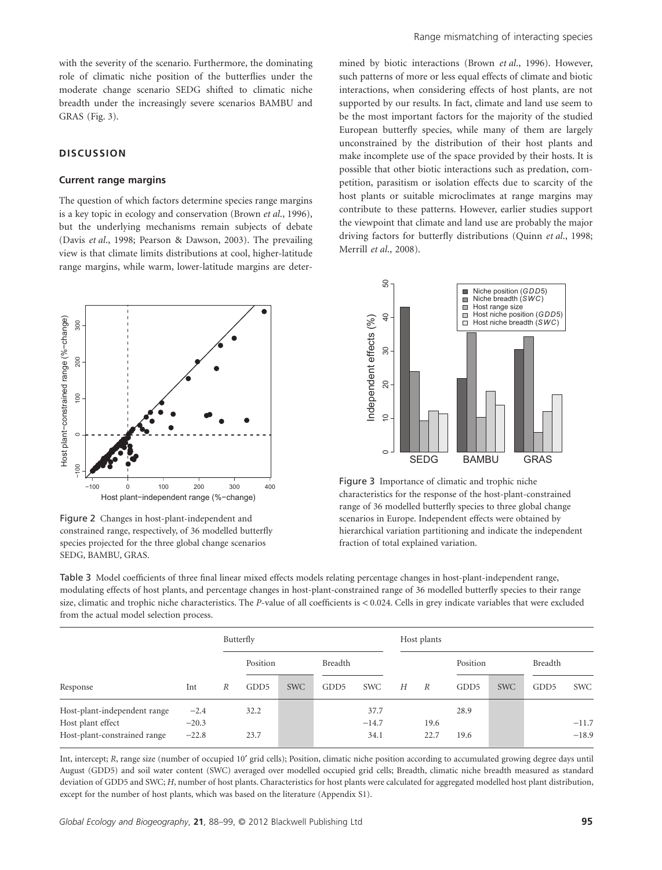with the severity of the scenario. Furthermore, the dominating role of climatic niche position of the butterflies under the moderate change scenario SEDG shifted to climatic niche breadth under the increasingly severe scenarios BAMBU and GRAS (Fig. 3).

# **DISCUSSION**

## **Current range margins**

The question of which factors determine species range margins is a key topic in ecology and conservation (Brown *et al*., 1996), but the underlying mechanisms remain subjects of debate (Davis *et al*., 1998; Pearson & Dawson, 2003). The prevailing view is that climate limits distributions at cool, higher-latitude range margins, while warm, lower-latitude margins are determined by biotic interactions (Brown *et al*., 1996). However, such patterns of more or less equal effects of climate and biotic interactions, when considering effects of host plants, are not supported by our results. In fact, climate and land use seem to be the most important factors for the majority of the studied European butterfly species, while many of them are largely unconstrained by the distribution of their host plants and make incomplete use of the space provided by their hosts. It is possible that other biotic interactions such as predation, competition, parasitism or isolation effects due to scarcity of the host plants or suitable microclimates at range margins may contribute to these patterns. However, earlier studies support the viewpoint that climate and land use are probably the major driving factors for butterfly distributions (Quinn *et al*., 1998; Merrill *et al*., 2008).



Figure 2 Changes in host-plant-independent and constrained range, respectively, of 36 modelled butterfly species projected for the three global change scenarios SEDG, BAMBU, GRAS.



Figure 3 Importance of climatic and trophic niche characteristics for the response of the host-plant-constrained range of 36 modelled butterfly species to three global change scenarios in Europe. Independent effects were obtained by hierarchical variation partitioning and indicate the independent fraction of total explained variation.

Table 3 Model coefficients of three final linear mixed effects models relating percentage changes in host-plant-independent range, modulating effects of host plants, and percentage changes in host-plant-constrained range of 36 modelled butterfly species to their range size, climatic and trophic niche characteristics. The *P*-value of all coefficients is < 0.024. Cells in grey indicate variables that were excluded from the actual model selection process.

|                              | Butterfly |   |                  |            |         | Host plants |   |              |                  |            |                  |            |
|------------------------------|-----------|---|------------------|------------|---------|-------------|---|--------------|------------------|------------|------------------|------------|
|                              |           |   | Position         |            | Breadth |             |   |              | Position         |            | Breadth          |            |
| Response                     | Int       | R | GDD <sub>5</sub> | <b>SWC</b> | GDD5    | <b>SWC</b>  | Н | $\mathbb{R}$ | GDD <sub>5</sub> | <b>SWC</b> | GDD <sub>5</sub> | <b>SWC</b> |
| Host-plant-independent range | $-2.4$    |   | 32.2             |            |         | 37.7        |   |              | 28.9             |            |                  |            |
| Host plant effect            | $-20.3$   |   |                  |            |         | $-14.7$     |   | 19.6         |                  |            |                  | $-11.7$    |
| Host-plant-constrained range | $-22.8$   |   | 23.7             |            |         | 34.1        |   | 22.7         | 19.6             |            |                  | $-18.9$    |

Int, intercept; *R*, range size (number of occupied 10′ grid cells); Position, climatic niche position according to accumulated growing degree days until August (GDD5) and soil water content (SWC) averaged over modelled occupied grid cells; Breadth, climatic niche breadth measured as standard deviation of GDD5 and SWC; *H*, number of host plants. Characteristics for host plants were calculated for aggregated modelled host plant distribution, except for the number of host plants, which was based on the literature (Appendix S1).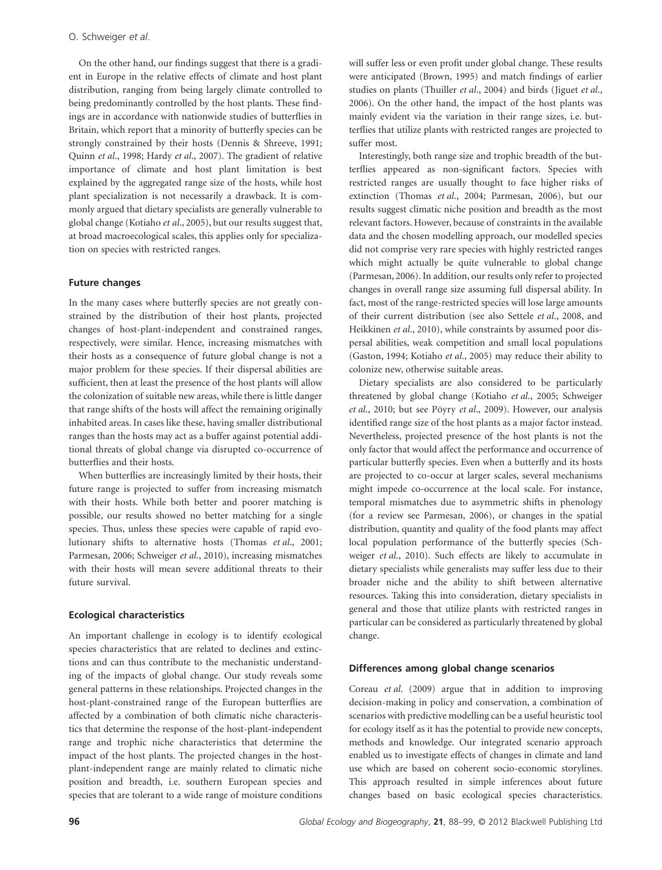On the other hand, our findings suggest that there is a gradient in Europe in the relative effects of climate and host plant distribution, ranging from being largely climate controlled to being predominantly controlled by the host plants. These findings are in accordance with nationwide studies of butterflies in Britain, which report that a minority of butterfly species can be strongly constrained by their hosts (Dennis & Shreeve, 1991; Quinn *et al*., 1998; Hardy *et al*., 2007). The gradient of relative importance of climate and host plant limitation is best explained by the aggregated range size of the hosts, while host plant specialization is not necessarily a drawback. It is commonly argued that dietary specialists are generally vulnerable to global change (Kotiaho *et al*., 2005), but our results suggest that, at broad macroecological scales, this applies only for specialization on species with restricted ranges.

#### **Future changes**

In the many cases where butterfly species are not greatly constrained by the distribution of their host plants, projected changes of host-plant-independent and constrained ranges, respectively, were similar. Hence, increasing mismatches with their hosts as a consequence of future global change is not a major problem for these species. If their dispersal abilities are sufficient, then at least the presence of the host plants will allow the colonization of suitable new areas, while there is little danger that range shifts of the hosts will affect the remaining originally inhabited areas. In cases like these, having smaller distributional ranges than the hosts may act as a buffer against potential additional threats of global change via disrupted co-occurrence of butterflies and their hosts.

When butterflies are increasingly limited by their hosts, their future range is projected to suffer from increasing mismatch with their hosts. While both better and poorer matching is possible, our results showed no better matching for a single species. Thus, unless these species were capable of rapid evolutionary shifts to alternative hosts (Thomas *et al*., 2001; Parmesan, 2006; Schweiger *et al*., 2010), increasing mismatches with their hosts will mean severe additional threats to their future survival.

## **Ecological characteristics**

An important challenge in ecology is to identify ecological species characteristics that are related to declines and extinctions and can thus contribute to the mechanistic understanding of the impacts of global change. Our study reveals some general patterns in these relationships. Projected changes in the host-plant-constrained range of the European butterflies are affected by a combination of both climatic niche characteristics that determine the response of the host-plant-independent range and trophic niche characteristics that determine the impact of the host plants. The projected changes in the hostplant-independent range are mainly related to climatic niche position and breadth, i.e. southern European species and species that are tolerant to a wide range of moisture conditions will suffer less or even profit under global change. These results were anticipated (Brown, 1995) and match findings of earlier studies on plants (Thuiller *et al*., 2004) and birds (Jiguet *et al*., 2006). On the other hand, the impact of the host plants was mainly evident via the variation in their range sizes, i.e. butterflies that utilize plants with restricted ranges are projected to suffer most.

Interestingly, both range size and trophic breadth of the butterflies appeared as non-significant factors. Species with restricted ranges are usually thought to face higher risks of extinction (Thomas *et al*., 2004; Parmesan, 2006), but our results suggest climatic niche position and breadth as the most relevant factors. However, because of constraints in the available data and the chosen modelling approach, our modelled species did not comprise very rare species with highly restricted ranges which might actually be quite vulnerable to global change (Parmesan, 2006). In addition, our results only refer to projected changes in overall range size assuming full dispersal ability. In fact, most of the range-restricted species will lose large amounts of their current distribution (see also Settele *et al*., 2008, and Heikkinen *et al*., 2010), while constraints by assumed poor dispersal abilities, weak competition and small local populations (Gaston, 1994; Kotiaho *et al*., 2005) may reduce their ability to colonize new, otherwise suitable areas.

Dietary specialists are also considered to be particularly threatened by global change (Kotiaho *et al*., 2005; Schweiger *et al*., 2010; but see Pöyry *et al*., 2009). However, our analysis identified range size of the host plants as a major factor instead. Nevertheless, projected presence of the host plants is not the only factor that would affect the performance and occurrence of particular butterfly species. Even when a butterfly and its hosts are projected to co-occur at larger scales, several mechanisms might impede co-occurrence at the local scale. For instance, temporal mismatches due to asymmetric shifts in phenology (for a review see Parmesan, 2006), or changes in the spatial distribution, quantity and quality of the food plants may affect local population performance of the butterfly species (Schweiger *et al*., 2010). Such effects are likely to accumulate in dietary specialists while generalists may suffer less due to their broader niche and the ability to shift between alternative resources. Taking this into consideration, dietary specialists in general and those that utilize plants with restricted ranges in particular can be considered as particularly threatened by global change.

#### **Differences among global change scenarios**

Coreau *et al*. (2009) argue that in addition to improving decision-making in policy and conservation, a combination of scenarios with predictive modelling can be a useful heuristic tool for ecology itself as it has the potential to provide new concepts, methods and knowledge. Our integrated scenario approach enabled us to investigate effects of changes in climate and land use which are based on coherent socio-economic storylines. This approach resulted in simple inferences about future changes based on basic ecological species characteristics.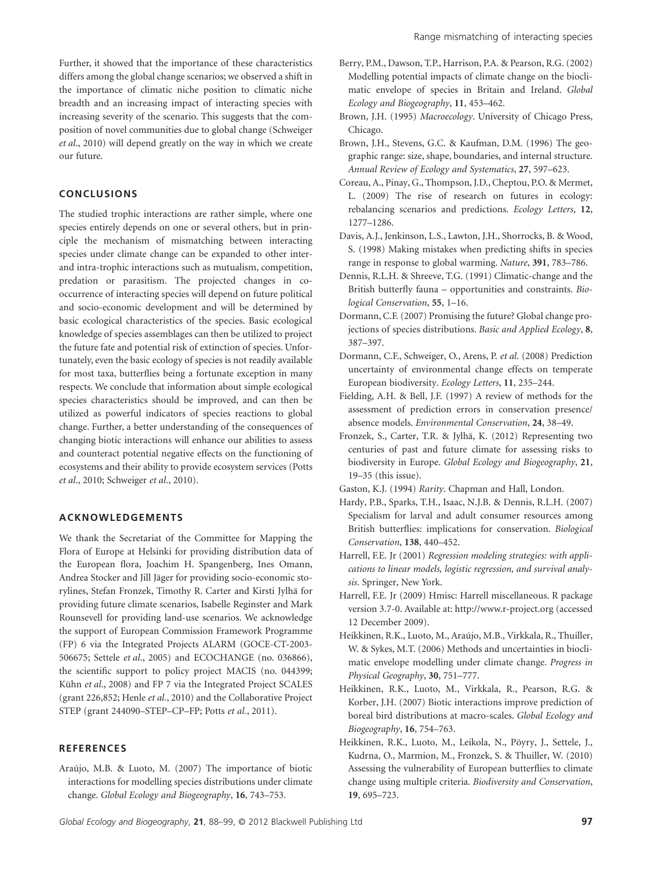Further, it showed that the importance of these characteristics differs among the global change scenarios; we observed a shift in the importance of climatic niche position to climatic niche breadth and an increasing impact of interacting species with increasing severity of the scenario. This suggests that the composition of novel communities due to global change (Schweiger *et al*., 2010) will depend greatly on the way in which we create our future.

# **CONCLUSIONS**

The studied trophic interactions are rather simple, where one species entirely depends on one or several others, but in principle the mechanism of mismatching between interacting species under climate change can be expanded to other interand intra-trophic interactions such as mutualism, competition, predation or parasitism. The projected changes in cooccurrence of interacting species will depend on future political and socio-economic development and will be determined by basic ecological characteristics of the species. Basic ecological knowledge of species assemblages can then be utilized to project the future fate and potential risk of extinction of species. Unfortunately, even the basic ecology of species is not readily available for most taxa, butterflies being a fortunate exception in many respects. We conclude that information about simple ecological species characteristics should be improved, and can then be utilized as powerful indicators of species reactions to global change. Further, a better understanding of the consequences of changing biotic interactions will enhance our abilities to assess and counteract potential negative effects on the functioning of ecosystems and their ability to provide ecosystem services (Potts *et al*., 2010; Schweiger *et al*., 2010).

# **ACKNOWLEDGEMENTS**

We thank the Secretariat of the Committee for Mapping the Flora of Europe at Helsinki for providing distribution data of the European flora, Joachim H. Spangenberg, Ines Omann, Andrea Stocker and Jill Jäger for providing socio-economic storylines, Stefan Fronzek, Timothy R. Carter and Kirsti Jylhä for providing future climate scenarios, Isabelle Reginster and Mark Rounsevell for providing land-use scenarios. We acknowledge the support of European Commission Framework Programme (FP) 6 via the Integrated Projects ALARM (GOCE-CT-2003- 506675; Settele *et al*., 2005) and ECOCHANGE (no. 036866), the scientific support to policy project MACIS (no. 044399; Kühn *et al*., 2008) and FP 7 via the Integrated Project SCALES (grant 226,852; Henle *et al.*, 2010) and the Collaborative Project STEP (grant 244090–STEP–CP–FP; Potts *et al.*, 2011).

# **REFERENCES**

Araújo, M.B. & Luoto, M. (2007) The importance of biotic interactions for modelling species distributions under climate change. *Global Ecology and Biogeography*, **16**, 743–753.

- Berry, P.M., Dawson, T.P., Harrison, P.A. & Pearson, R.G. (2002) Modelling potential impacts of climate change on the bioclimatic envelope of species in Britain and Ireland. *Global Ecology and Biogeography*, **11**, 453–462.
- Brown, J.H. (1995) *Macroecology*. University of Chicago Press, Chicago.
- Brown, J.H., Stevens, G.C. & Kaufman, D.M. (1996) The geographic range: size, shape, boundaries, and internal structure. *Annual Review of Ecology and Systematics*, **27**, 597–623.
- Coreau, A., Pinay, G., Thompson, J.D., Cheptou, P.O. & Mermet, L. (2009) The rise of research on futures in ecology: rebalancing scenarios and predictions. *Ecology Letters*, **12**, 1277–1286.
- Davis, A.J., Jenkinson, L.S., Lawton, J.H., Shorrocks, B. & Wood, S. (1998) Making mistakes when predicting shifts in species range in response to global warming. *Nature*, **391**, 783–786.
- Dennis, R.L.H. & Shreeve, T.G. (1991) Climatic-change and the British butterfly fauna – opportunities and constraints. *Biological Conservation*, **55**, 1–16.
- Dormann, C.F. (2007) Promising the future? Global change projections of species distributions. *Basic and Applied Ecology*, **8**, 387–397.
- Dormann, C.F., Schweiger, O., Arens, P. *et al*. (2008) Prediction uncertainty of environmental change effects on temperate European biodiversity. *Ecology Letters*, **11**, 235–244.
- Fielding, A.H. & Bell, J.F. (1997) A review of methods for the assessment of prediction errors in conservation presence/ absence models. *Environmental Conservation*, **24**, 38–49.
- Fronzek, S., Carter, T.R. & Jylhä, K. (2012) Representing two centuries of past and future climate for assessing risks to biodiversity in Europe. *Global Ecology and Biogeography*, **21**, 19–35 (this issue).
- Gaston, K.J. (1994) *Rarity*. Chapman and Hall, London.
- Hardy, P.B., Sparks, T.H., Isaac, N.J.B. & Dennis, R.L.H. (2007) Specialism for larval and adult consumer resources among British butterflies: implications for conservation. *Biological Conservation*, **138**, 440–452.
- Harrell, F.E. Jr (2001) *Regression modeling strategies: with applications to linear models, logistic regression, and survival analysis*. Springer, New York.
- Harrell, F.E. Jr (2009) Hmisc: Harrell miscellaneous. R package version 3.7-0. Available at: http://www.r-project.org (accessed 12 December 2009).
- Heikkinen, R.K., Luoto, M., Araújo, M.B., Virkkala, R., Thuiller, W. & Sykes, M.T. (2006) Methods and uncertainties in bioclimatic envelope modelling under climate change. *Progress in Physical Geography*, **30**, 751–777.
- Heikkinen, R.K., Luoto, M., Virkkala, R., Pearson, R.G. & Korber, J.H. (2007) Biotic interactions improve prediction of boreal bird distributions at macro-scales. *Global Ecology and Biogeography*, **16**, 754–763.
- Heikkinen, R.K., Luoto, M., Leikola, N., Pöyry, J., Settele, J., Kudrna, O., Marmion, M., Fronzek, S. & Thuiller, W. (2010) Assessing the vulnerability of European butterflies to climate change using multiple criteria. *Biodiversity and Conservation*, **19**, 695–723.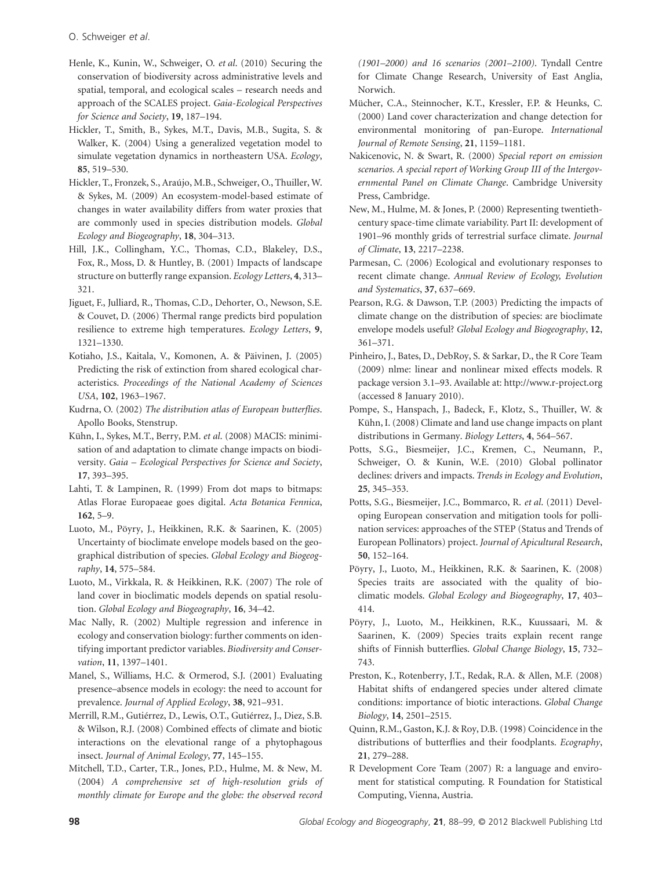O. Schweiger *et al*.

- Henle, K., Kunin, W., Schweiger, O. *et al*. (2010) Securing the conservation of biodiversity across administrative levels and spatial, temporal, and ecological scales – research needs and approach of the SCALES project. *Gaia-Ecological Perspectives for Science and Society*, **19**, 187–194.
- Hickler, T., Smith, B., Sykes, M.T., Davis, M.B., Sugita, S. & Walker, K. (2004) Using a generalized vegetation model to simulate vegetation dynamics in northeastern USA. *Ecology*, **85**, 519–530.
- Hickler, T., Fronzek, S., Araújo, M.B., Schweiger, O., Thuiller, W. & Sykes, M. (2009) An ecosystem-model-based estimate of changes in water availability differs from water proxies that are commonly used in species distribution models. *Global Ecology and Biogeography*, **18**, 304–313.
- Hill, J.K., Collingham, Y.C., Thomas, C.D., Blakeley, D.S., Fox, R., Moss, D. & Huntley, B. (2001) Impacts of landscape structure on butterfly range expansion. *Ecology Letters*, **4**, 313– 321.
- Jiguet, F., Julliard, R., Thomas, C.D., Dehorter, O., Newson, S.E. & Couvet, D. (2006) Thermal range predicts bird population resilience to extreme high temperatures. *Ecology Letters*, **9**, 1321–1330.
- Kotiaho, J.S., Kaitala, V., Komonen, A. & Päivinen, J. (2005) Predicting the risk of extinction from shared ecological characteristics. *Proceedings of the National Academy of Sciences USA*, **102**, 1963–1967.
- Kudrna, O. (2002) *The distribution atlas of European butterflies*. Apollo Books, Stenstrup.
- Kühn, I., Sykes, M.T., Berry, P.M. *et al*. (2008) MACIS: minimisation of and adaptation to climate change impacts on biodiversity. *Gaia – Ecological Perspectives for Science and Society*, **17**, 393–395.
- Lahti, T. & Lampinen, R. (1999) From dot maps to bitmaps: Atlas Florae Europaeae goes digital. *Acta Botanica Fennica*, **162**, 5–9.
- Luoto, M., Pöyry, J., Heikkinen, R.K. & Saarinen, K. (2005) Uncertainty of bioclimate envelope models based on the geographical distribution of species. *Global Ecology and Biogeography*, **14**, 575–584.
- Luoto, M., Virkkala, R. & Heikkinen, R.K. (2007) The role of land cover in bioclimatic models depends on spatial resolution. *Global Ecology and Biogeography*, **16**, 34–42.
- Mac Nally, R. (2002) Multiple regression and inference in ecology and conservation biology: further comments on identifying important predictor variables. *Biodiversity and Conservation*, **11**, 1397–1401.
- Manel, S., Williams, H.C. & Ormerod, S.J. (2001) Evaluating presence–absence models in ecology: the need to account for prevalence. *Journal of Applied Ecology*, **38**, 921–931.
- Merrill, R.M., Gutiérrez, D., Lewis, O.T., Gutiérrez, J., Diez, S.B. & Wilson, R.J. (2008) Combined effects of climate and biotic interactions on the elevational range of a phytophagous insect. *Journal of Animal Ecology*, **77**, 145–155.
- Mitchell, T.D., Carter, T.R., Jones, P.D., Hulme, M. & New, M. (2004) *A comprehensive set of high-resolution grids of monthly climate for Europe and the globe: the observed record*

*(1901–2000) and 16 scenarios (2001–2100)*. Tyndall Centre for Climate Change Research, University of East Anglia, Norwich.

- Mücher, C.A., Steinnocher, K.T., Kressler, F.P. & Heunks, C. (2000) Land cover characterization and change detection for environmental monitoring of pan-Europe. *International Journal of Remote Sensing*, **21**, 1159–1181.
- Nakicenovic, N. & Swart, R. (2000) *Special report on emission scenarios. A special report of Working Group III of the Intergovernmental Panel on Climate Change*. Cambridge University Press, Cambridge.
- New, M., Hulme, M. & Jones, P. (2000) Representing twentiethcentury space-time climate variability. Part II: development of 1901–96 monthly grids of terrestrial surface climate. *Journal of Climate*, **13**, 2217–2238.
- Parmesan, C. (2006) Ecological and evolutionary responses to recent climate change. *Annual Review of Ecology, Evolution and Systematics*, **37**, 637–669.
- Pearson, R.G. & Dawson, T.P. (2003) Predicting the impacts of climate change on the distribution of species: are bioclimate envelope models useful? *Global Ecology and Biogeography*, **12**, 361–371.
- Pinheiro, J., Bates, D., DebRoy, S. & Sarkar, D., the R Core Team (2009) nlme: linear and nonlinear mixed effects models. R package version 3.1–93. Available at: http://www.r-project.org (accessed 8 January 2010).
- Pompe, S., Hanspach, J., Badeck, F., Klotz, S., Thuiller, W. & Kühn, I. (2008) Climate and land use change impacts on plant distributions in Germany. *Biology Letters*, **4**, 564–567.
- Potts, S.G., Biesmeijer, J.C., Kremen, C., Neumann, P., Schweiger, O. & Kunin, W.E. (2010) Global pollinator declines: drivers and impacts. *Trends in Ecology and Evolution*, **25**, 345–353.
- Potts, S.G., Biesmeijer, J.C., Bommarco, R. *et al*. (2011) Developing European conservation and mitigation tools for pollination services: approaches of the STEP (Status and Trends of European Pollinators) project. *Journal of Apicultural Research*, **50**, 152–164.
- Pöyry, J., Luoto, M., Heikkinen, R.K. & Saarinen, K. (2008) Species traits are associated with the quality of bioclimatic models. *Global Ecology and Biogeography*, **17**, 403– 414.
- Pöyry, J., Luoto, M., Heikkinen, R.K., Kuussaari, M. & Saarinen, K. (2009) Species traits explain recent range shifts of Finnish butterflies. *Global Change Biology*, **15**, 732– 743.
- Preston, K., Rotenberry, J.T., Redak, R.A. & Allen, M.F. (2008) Habitat shifts of endangered species under altered climate conditions: importance of biotic interactions. *Global Change Biology*, **14**, 2501–2515.
- Quinn, R.M., Gaston, K.J. & Roy, D.B. (1998) Coincidence in the distributions of butterflies and their foodplants. *Ecography*, **21**, 279–288.
- R Development Core Team (2007) R: a language and enviroment for statistical computing. R Foundation for Statistical Computing, Vienna, Austria.